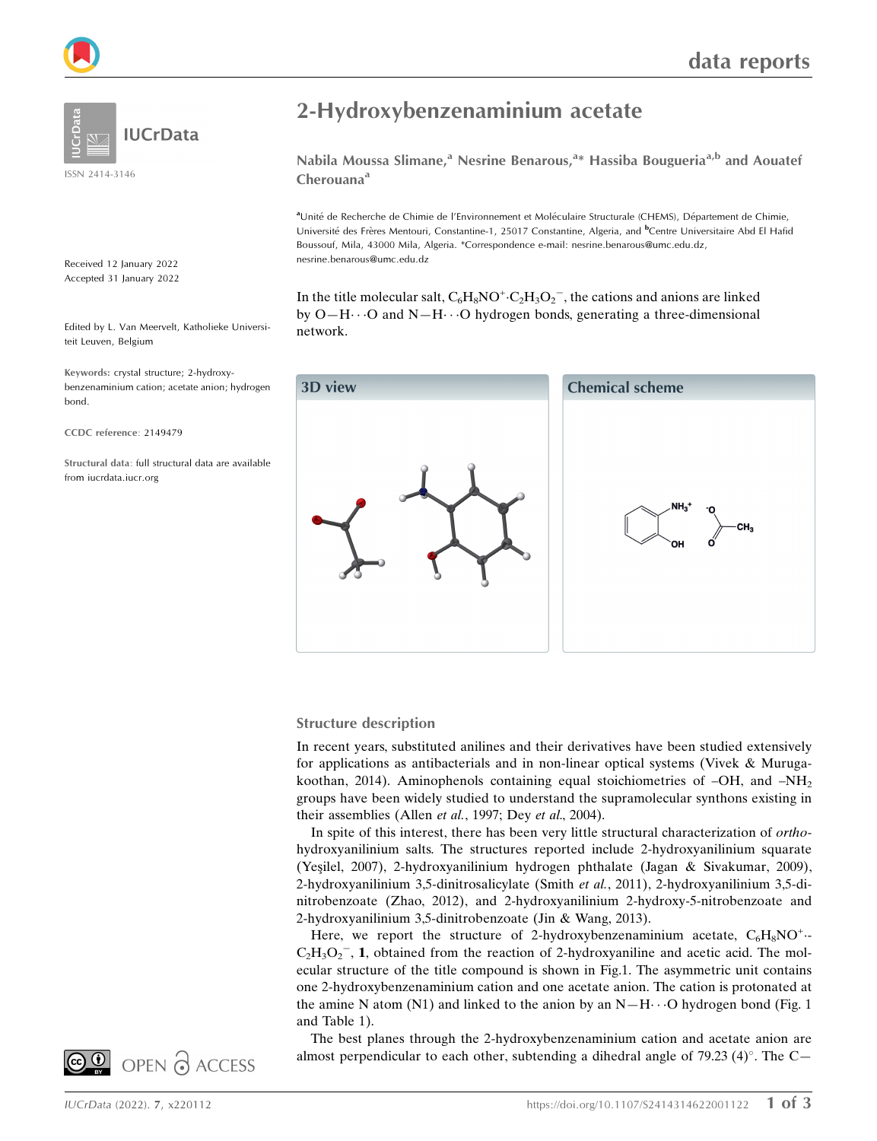

ISSN 2414-3146

Received 12 January 2022 Accepted 31 January 2022

Edited by L. Van Meervelt, Katholieke Universiteit Leuven, Belgium

Keywords: crystal structure; 2-hydroxybenzenaminium cation; acetate anion; hydrogen bond.

CCDC reference: 2149479

Structural data: full structural data are available from iucrdata.iucr.org

## 2-Hydroxybenzenaminium acetate

Nabila Moussa Slimane,<sup>a</sup> Nesrine Benarous,<sup>a\*</sup> Hassiba Bougueria<sup>a,b</sup> and Aouatef Cherouana<sup>a</sup>

aUnité de Recherche de Chimie de l'Environnement et Moléculaire Structurale (CHEMS), Département de Chimie, Université des Frères Mentouri, Constantine-1, 25017 Constantine, Algeria, and <sup>b</sup>Centre Universitaire Abd El Hafid Boussouf, Mila, 43000 Mila, Algeria. \*Correspondence e-mail: nesrine.benarous@umc.edu.dz, nesrine.benarous@umc.edu.dz

In the title molecular salt,  $C_6H_8NO^+ \cdot C_2H_3O_2^-$ , the cations and anions are linked by  $O-H\cdots O$  and  $N-H\cdots O$  hydrogen bonds, generating a three-dimensional network.



#### Structure description

In recent years, substituted anilines and their derivatives have been studied extensively for applications as antibacterials and in non-linear optical systems (Vivek & Murugakoothan, 2014). Aminophenols containing equal stoichiometries of  $-OH$ , and  $-NH<sub>2</sub>$ groups have been widely studied to understand the supramolecular synthons existing in their assemblies (Allen et al., 1997; Dey et al., 2004).

In spite of this interest, there has been very little structural characterization of orthohydroxyanilinium salts. The structures reported include 2-hydroxyanilinium squarate (Yesilel, 2007), 2-hydroxyanilinium hydrogen phthalate (Jagan & Sivakumar, 2009), 2-hydroxyanilinium 3,5-dinitrosalicylate (Smith et al., 2011), 2-hydroxyanilinium 3,5-dinitrobenzoate (Zhao, 2012), and 2-hydroxyanilinium 2-hydroxy-5-nitrobenzoate and 2-hydroxyanilinium 3,5-dinitrobenzoate (Jin & Wang, 2013).

Here, we report the structure of 2-hydroxybenzenaminium acetate,  $C_6H_8NO^+$ .  $C_2H_3O_2$ , 1, obtained from the reaction of 2-hydroxyaniline and acetic acid. The molecular structure of the title compound is shown in Fig.1. The asymmetric unit contains one 2-hydroxybenzenaminium cation and one acetate anion. The cation is protonated at the amine N atom (N1) and linked to the anion by an  $N-H \cdots$ O hydrogen bond (Fig. 1) and Table 1).

The best planes through the 2-hydroxybenzenaminium cation and acetate anion are almost perpendicular to each other, subtending a dihedral angle of 79.23 (4)°. The C—

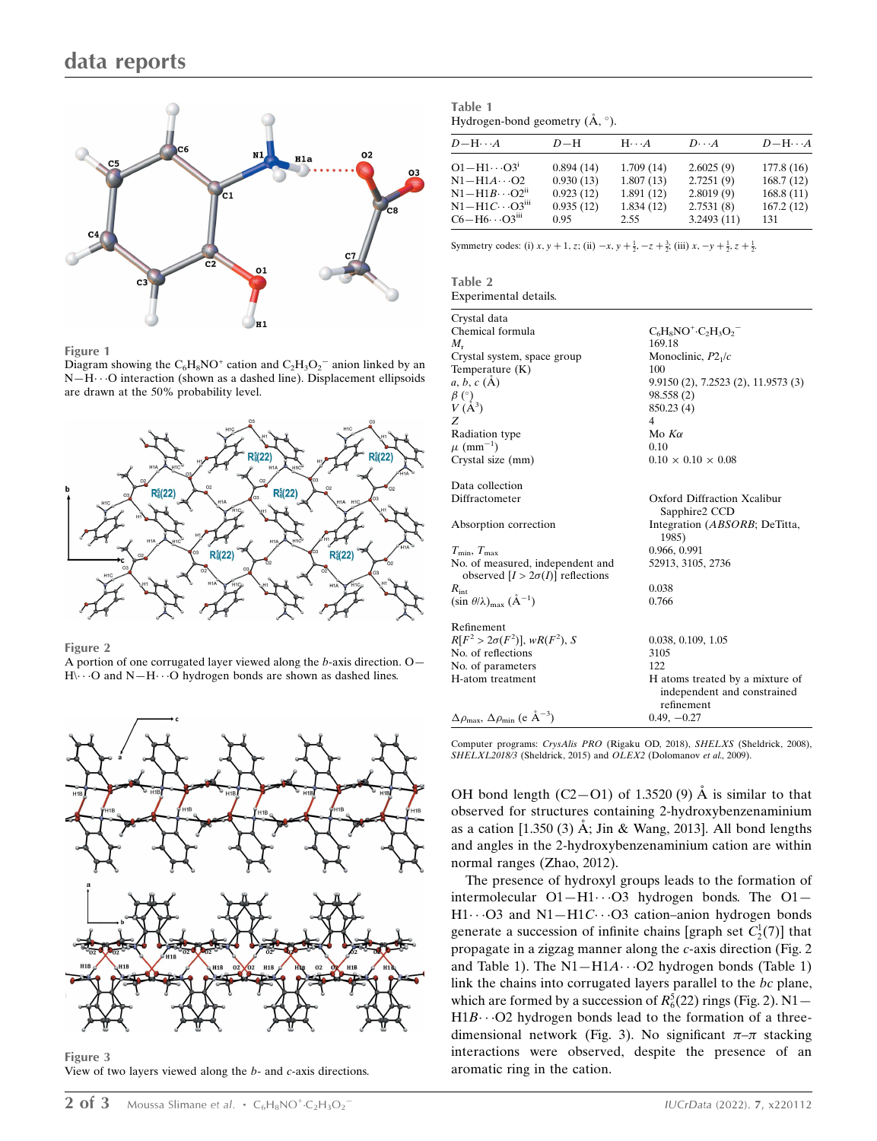

#### Figure 1

Diagram showing the  $C_6H_8NO^+$  cation and  $C_2H_3O_2^-$  anion linked by an N-H··· O interaction (shown as a dashed line). Displacement ellipsoids are drawn at the 50% probability level.



#### Figure 2

A portion of one corrugated layer viewed along the b-axis direction. O—  $H\cdots$ O and  $N-H\cdots$ O hydrogen bonds are shown as dashed lines.



Figure 3 View of two layers viewed along the b- and c-axis directions.

| Table 1                                            |  |
|----------------------------------------------------|--|
| Hydrogen-bond geometry $(\mathring{A}, \degree)$ . |  |

| $D-\mathrm{H}\cdots A$              | $D-H$     | $H \cdot \cdot \cdot A$ | $D\cdots A$ | $D - H \cdots A$ |
|-------------------------------------|-----------|-------------------------|-------------|------------------|
| $O1 - H1 \cdots O3^1$               | 0.894(14) | 1.709(14)               | 2.6025(9)   | 177.8(16)        |
| $N1-H1A\cdots O2$                   | 0.930(13) | 1.807(13)               | 2.7251(9)   | 168.7(12)        |
| $N1 - H1B \cdot \cdot \cdot O2^{n}$ | 0.923(12) | 1.891(12)               | 2.8019(9)   | 168.8(11)        |
| $N1-H1C\cdots O3iii$                | 0.935(12) | 1.834(12)               | 2.7531(8)   | 167.2(12)        |
| $C6 - H6 \cdot \cdot \cdot O3m$     | 0.95      | 2.55                    | 3.2493(11)  | 131              |

Symmetry codes: (i)  $x, y + 1, z$ ; (ii)  $-x, y + \frac{1}{2}, -z + \frac{3}{2}$ ; (iii)  $x, -y + \frac{1}{2}, z + \frac{1}{2}$ .

| Table 2 |                       |
|---------|-----------------------|
|         | Experimental details. |

| Crystal data                                                          |                                        |
|-----------------------------------------------------------------------|----------------------------------------|
| Chemical formula                                                      | $C_6H_8NO^+ \cdot C_2H_3O_2$           |
| $M_{\rm r}$                                                           | 169.18                                 |
| Crystal system, space group                                           | Monoclinic, $P2_1/c$                   |
| Temperature (K)                                                       | 100                                    |
| a, b, c (A)                                                           | 9.9150 (2), 7.2523 (2), 11.9573 (3)    |
| $\beta$ (°)                                                           | 98.558 (2)                             |
| $V(A^3)$                                                              | 850.23 (4)                             |
| Z                                                                     | 4                                      |
| Radiation type                                                        | Mo $K\alpha$                           |
| $\mu$ (mm <sup>-1</sup> )                                             | 0.10                                   |
| Crystal size (mm)                                                     | $0.10 \times 0.10 \times 0.08$         |
|                                                                       |                                        |
| Data collection                                                       |                                        |
| Diffractometer                                                        | Oxford Diffraction Xcalibur            |
|                                                                       | Sapphire2 CCD                          |
| Absorption correction                                                 | Integration (ABSORB; DeTitta,<br>1985) |
| $T_{\rm min}, T_{\rm max}$                                            | 0.966, 0.991                           |
| No. of measured, independent and                                      | 52913, 3105, 2736                      |
| observed $[I > 2\sigma(I)]$ reflections                               |                                        |
| $R_{\rm int}$                                                         | 0.038                                  |
| $(\sin \theta/\lambda)_{\text{max}} (\text{\AA}^{-1})$                | 0.766                                  |
|                                                                       |                                        |
| Refinement                                                            |                                        |
| $R[F^2 > 2\sigma(F^2)], wR(F^2), S$                                   | 0.038, 0.109, 1.05                     |
| No. of reflections                                                    | 3105                                   |
| No. of parameters                                                     | 122                                    |
| H-atom treatment                                                      | H atoms treated by a mixture of        |
|                                                                       | independent and constrained            |
|                                                                       | refinement                             |
| $\Delta \rho_{\rm max}$ , $\Delta \rho_{\rm min}$ (e $\rm \AA^{-3}$ ) | $0.49, -0.27$                          |
|                                                                       |                                        |

Computer programs: CrysAlis PRO (Rigaku OD, 2018), SHELXS (Sheldrick, 2008), SHELXL2018/3 (Sheldrick, 2015) and OLEX2 (Dolomanov et al., 2009).

OH bond length  $(C2-O1)$  of 1.3520 (9) A is similar to that observed for structures containing 2-hydroxybenzenaminium as a cation [1.350 (3) Å; Jin & Wang, 2013]. All bond lengths and angles in the 2-hydroxybenzenaminium cation are within normal ranges (Zhao, 2012).

The presence of hydroxyl groups leads to the formation of intermolecular  $O1 - H1 \cdots O3$  hydrogen bonds. The  $O1 -$ H1…O3 and N1-H1C…O3 cation-anion hydrogen bonds generate a succession of infinite chains [graph set  $C_2^1(7)$ ] that propagate in a zigzag manner along the c-axis direction (Fig. 2 and Table 1). The  $N1 - H1A \cdots O2$  hydrogen bonds (Table 1) link the chains into corrugated layers parallel to the bc plane, which are formed by a succession of  $R_6^5(22)$  rings (Fig. 2). N1- $H1B\cdots$ O2 hydrogen bonds lead to the formation of a threedimensional network (Fig. 3). No significant  $\pi-\pi$  stacking interactions were observed, despite the presence of an aromatic ring in the cation.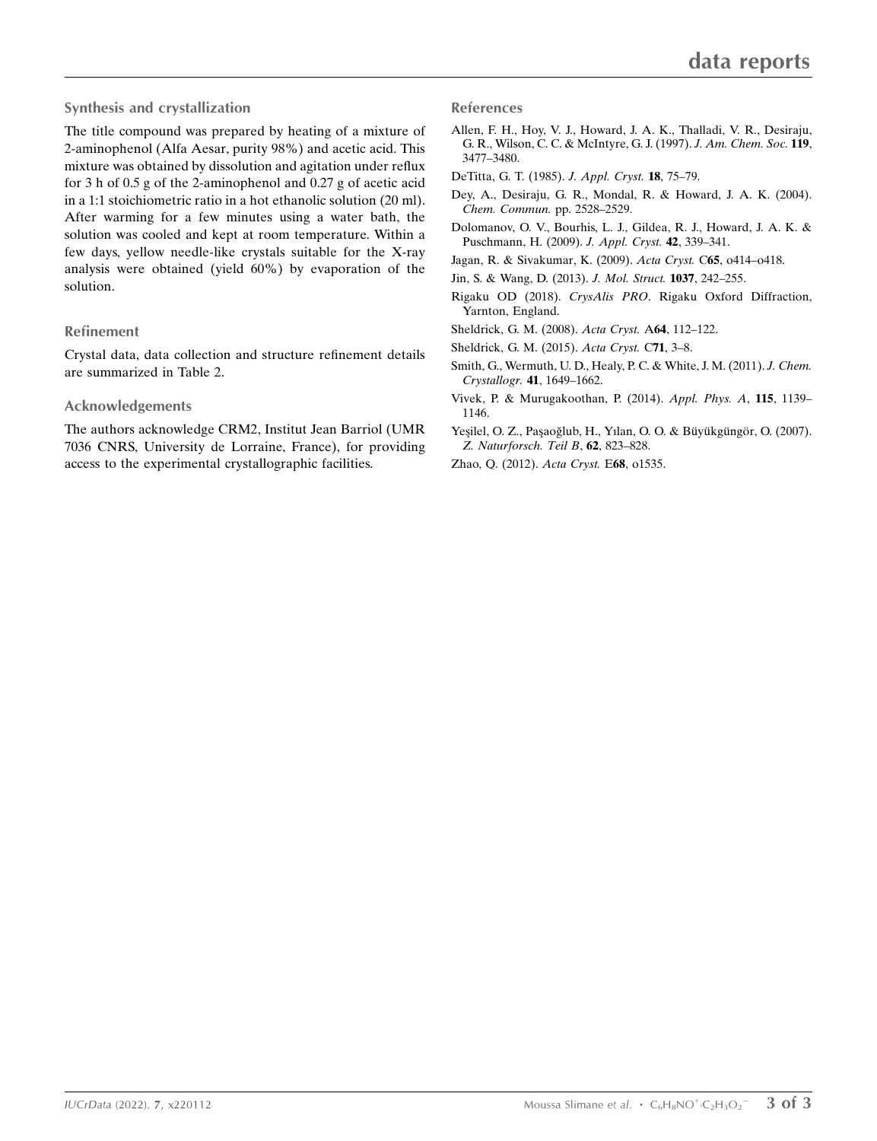#### Synthesis and crystallization

The title compound was prepared by heating of a mixture of 2-aminophenol (Alfa Aesar, purity 98%) and acetic acid. This mixture was obtained by dissolution and agitation under reflux for 3 h of 0.5 g of the 2-aminophenol and 0.27 g of acetic acid in a 1:1 stoichiometric ratio in a hot ethanolic solution (20 ml). After warming for a few minutes using a water bath, the solution was cooled and kept at room temperature. Within a few days, yellow needle-like crystals suitable for the X-ray analysis were obtained (yield 60%) by evaporation of the solution.

#### Refinement

Crystal data, data collection and structure refinement details are summarized in Table 2.

#### Acknowledgements

The authors acknowledge CRM2, Institut Jean Barriol (UMR 7036 CNRS, University de Lorraine, France), for providing access to the experimental crystallographic facilities.

#### References

- [Allen, F. H., Hoy, V. J., Howard, J. A. K., Thalladi, V. R., Desiraju,](http://scripts.iucr.org/cgi-bin/cr.cgi?rm=pdfbb&cnor=vm4050&bbid=BB1) [G. R., Wilson, C. C. & McIntyre, G. J. \(1997\).](http://scripts.iucr.org/cgi-bin/cr.cgi?rm=pdfbb&cnor=vm4050&bbid=BB1) J. Am. Chem. Soc. 119, [3477–3480.](http://scripts.iucr.org/cgi-bin/cr.cgi?rm=pdfbb&cnor=vm4050&bbid=BB1)
- [DeTitta, G. T. \(1985\).](http://scripts.iucr.org/cgi-bin/cr.cgi?rm=pdfbb&cnor=vm4050&bbid=BB2) J. Appl. Cryst. 18, 75–79.
- [Dey, A., Desiraju, G. R., Mondal, R. & Howard, J. A. K. \(2004\).](http://scripts.iucr.org/cgi-bin/cr.cgi?rm=pdfbb&cnor=vm4050&bbid=BB3) [Chem. Commun.](http://scripts.iucr.org/cgi-bin/cr.cgi?rm=pdfbb&cnor=vm4050&bbid=BB3) pp. 2528–2529.
- [Dolomanov, O. V., Bourhis, L. J., Gildea, R. J., Howard, J. A. K. &](http://scripts.iucr.org/cgi-bin/cr.cgi?rm=pdfbb&cnor=vm4050&bbid=BB4) [Puschmann, H. \(2009\).](http://scripts.iucr.org/cgi-bin/cr.cgi?rm=pdfbb&cnor=vm4050&bbid=BB4) J. Appl. Cryst. 42, 339–341.
- [Jagan, R. & Sivakumar, K. \(2009\).](http://scripts.iucr.org/cgi-bin/cr.cgi?rm=pdfbb&cnor=vm4050&bbid=BB5) Acta Cryst. C65, o414–o418.
- [Jin, S. & Wang, D. \(2013\).](http://scripts.iucr.org/cgi-bin/cr.cgi?rm=pdfbb&cnor=vm4050&bbid=BB6) J. Mol. Struct. 1037, 242–255.
- Rigaku OD (2018). CrysAlis PRO[. Rigaku Oxford Diffraction,](http://scripts.iucr.org/cgi-bin/cr.cgi?rm=pdfbb&cnor=vm4050&bbid=BB7) [Yarnton, England.](http://scripts.iucr.org/cgi-bin/cr.cgi?rm=pdfbb&cnor=vm4050&bbid=BB7)
- [Sheldrick, G. M. \(2008\).](http://scripts.iucr.org/cgi-bin/cr.cgi?rm=pdfbb&cnor=vm4050&bbid=BB8) Acta Cryst. A64, 112–122.
- [Sheldrick, G. M. \(2015\).](http://scripts.iucr.org/cgi-bin/cr.cgi?rm=pdfbb&cnor=vm4050&bbid=BB9) Acta Cryst. C71, 3–8.
- [Smith, G., Wermuth, U. D., Healy, P. C. & White, J. M. \(2011\).](http://scripts.iucr.org/cgi-bin/cr.cgi?rm=pdfbb&cnor=vm4050&bbid=BB10) J. Chem. Crystallogr. 41[, 1649–1662.](http://scripts.iucr.org/cgi-bin/cr.cgi?rm=pdfbb&cnor=vm4050&bbid=BB10)
- [Vivek, P. & Murugakoothan, P. \(2014\).](http://scripts.iucr.org/cgi-bin/cr.cgi?rm=pdfbb&cnor=vm4050&bbid=BB11) Appl. Phys. A, 115, 1139– [1146.](http://scripts.iucr.org/cgi-bin/cr.cgi?rm=pdfbb&cnor=vm4050&bbid=BB11)
- Yeşilel, O. Z., Paşaoğlub, H., Yılan, O. O. & Büyükgüngör, O. (2007). [Z. Naturforsch. Teil B](http://scripts.iucr.org/cgi-bin/cr.cgi?rm=pdfbb&cnor=vm4050&bbid=BB12), 62, 823–828.
- [Zhao, Q. \(2012\).](http://scripts.iucr.org/cgi-bin/cr.cgi?rm=pdfbb&cnor=vm4050&bbid=BB13) Acta Cryst. E68, o1535.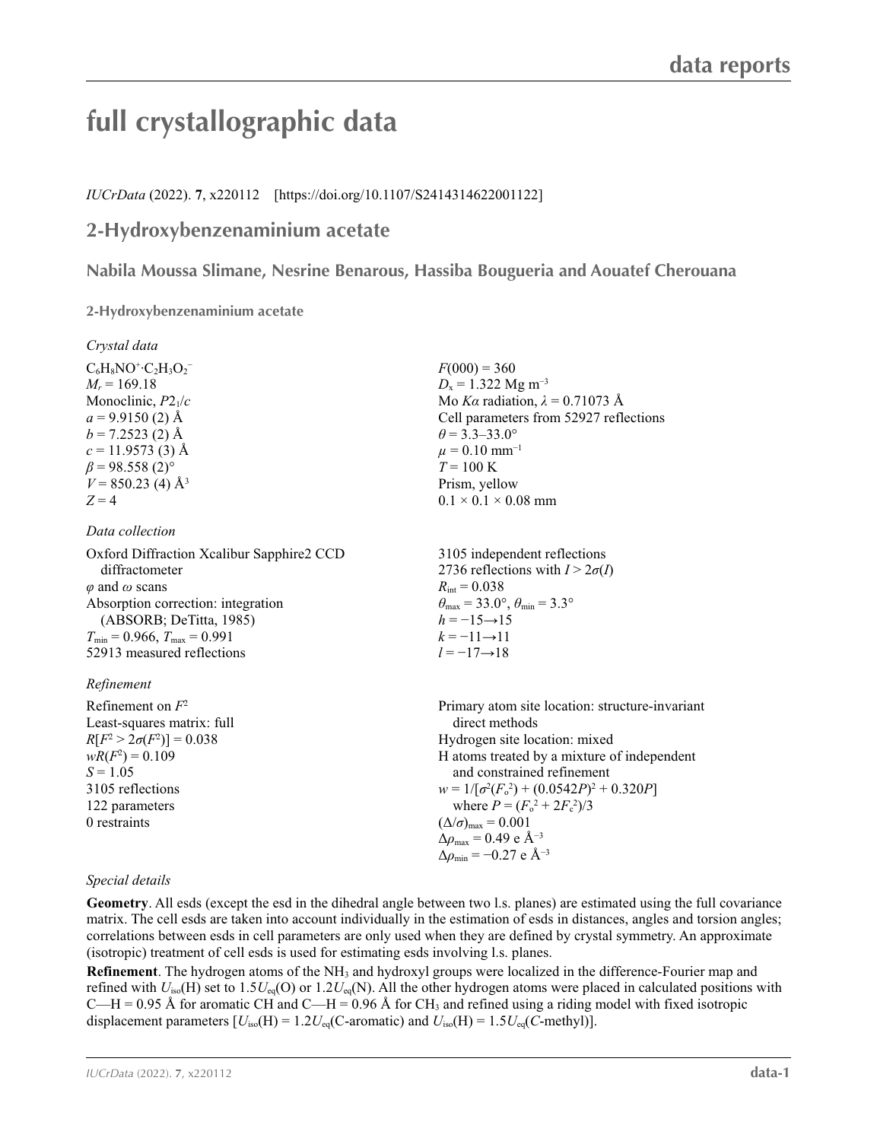# **full crystallographic data**

#### *IUCrData* (2022). **7**, x220112 [https://doi.org/10.1107/S2414314622001122]

### **2-Hydroxybenzenaminium acetate**

**Nabila Moussa Slimane, Nesrine Benarous, Hassiba Bougueria and Aouatef Cherouana**

**2-Hydroxybenzenaminium acetate** 

| Crystal data                              |                                                                         |
|-------------------------------------------|-------------------------------------------------------------------------|
| $C_6H_8NO^+C_2H_3O_2^-$                   | $F(000) = 360$                                                          |
| $M_r = 169.18$                            | $D_x = 1.322$ Mg m <sup>-3</sup>                                        |
| Monoclinic, $P2_1/c$                      | Mo Ka radiation, $\lambda = 0.71073$ Å                                  |
| $a = 9.9150(2)$ Å                         | Cell parameters from 52927 reflections                                  |
| $b = 7.2523$ (2) Å                        | $\theta$ = 3.3–33.0°                                                    |
| $c = 11.9573(3)$ Å                        | $\mu = 0.10$ mm <sup>-1</sup>                                           |
| $\beta$ = 98.558 (2) <sup>o</sup>         | $T = 100 \text{ K}$                                                     |
| $V = 850.23$ (4) Å <sup>3</sup>           | Prism, yellow                                                           |
| $Z = 4$                                   | $0.1 \times 0.1 \times 0.08$ mm                                         |
| Data collection                           |                                                                         |
| Oxford Diffraction Xcalibur Sapphire2 CCD | 3105 independent reflections                                            |
| diffractometer                            | 2736 reflections with $I > 2\sigma(I)$                                  |
| $\varphi$ and $\omega$ scans              | $R_{\rm int} = 0.038$                                                   |
| Absorption correction: integration        | $\theta_{\text{max}} = 33.0^{\circ}, \theta_{\text{min}} = 3.3^{\circ}$ |
| (ABSORB; DeTitta, 1985)                   | $h = -15 \rightarrow 15$                                                |
| $T_{\min}$ = 0.966, $T_{\max}$ = 0.991    | $k = -11 \rightarrow 11$                                                |
| 52913 measured reflections                | $l = -17 \rightarrow 18$                                                |
| Refinement                                |                                                                         |
| Refinement on $F^2$                       | Primary atom site location: structure-invariant                         |
| Least-squares matrix: full                | direct methods                                                          |
| $R[F^2 > 2\sigma(F^2)] = 0.038$           | Hydrogen site location: mixed                                           |
| $wR(F^2) = 0.109$                         | H atoms treated by a mixture of independent                             |
| $S = 1.05$                                | and constrained refinement                                              |
| $2105 - 0.11$                             | $1/F$ $2(F$ $2)$ $(0.0542R)^{2}$ $(0.220R)^{2}$                         |

3105 reflections 122 parameters 0 restraints

 $w = 1/[\sigma^2 (F_o^2) + (0.0542P)^2 + 0.320P]$ where  $P = (F_o^2 + 2F_c^2)/3$  $(\Delta/\sigma)_{\text{max}} = 0.001$  $\Delta\rho_{\text{max}} = 0.49$  e Å<sup>-3</sup>  $\Delta\rho_{\rm min} = -0.27$  e Å<sup>-3</sup>

#### *Special details*

**Geometry**. All esds (except the esd in the dihedral angle between two l.s. planes) are estimated using the full covariance matrix. The cell esds are taken into account individually in the estimation of esds in distances, angles and torsion angles; correlations between esds in cell parameters are only used when they are defined by crystal symmetry. An approximate (isotropic) treatment of cell esds is used for estimating esds involving l.s. planes.

**Refinement**. The hydrogen atoms of the NH3 and hydroxyl groups were localized in the difference-Fourier map and refined with  $U_{iso}(H)$  set to 1.5 $U_{eq}(O)$  or 1.2 $U_{eq}(N)$ . All the other hydrogen atoms were placed in calculated positions with C—H = 0.95 Å for aromatic CH and C—H = 0.96 Å for CH<sub>3</sub> and refined using a riding model with fixed isotropic displacement parameters  $[U_{iso}(H) = 1.2U_{eq}(C\text{-}aromatic)$  and  $U_{iso}(H) = 1.5U_{eq}(C\text{-}methyl)$ .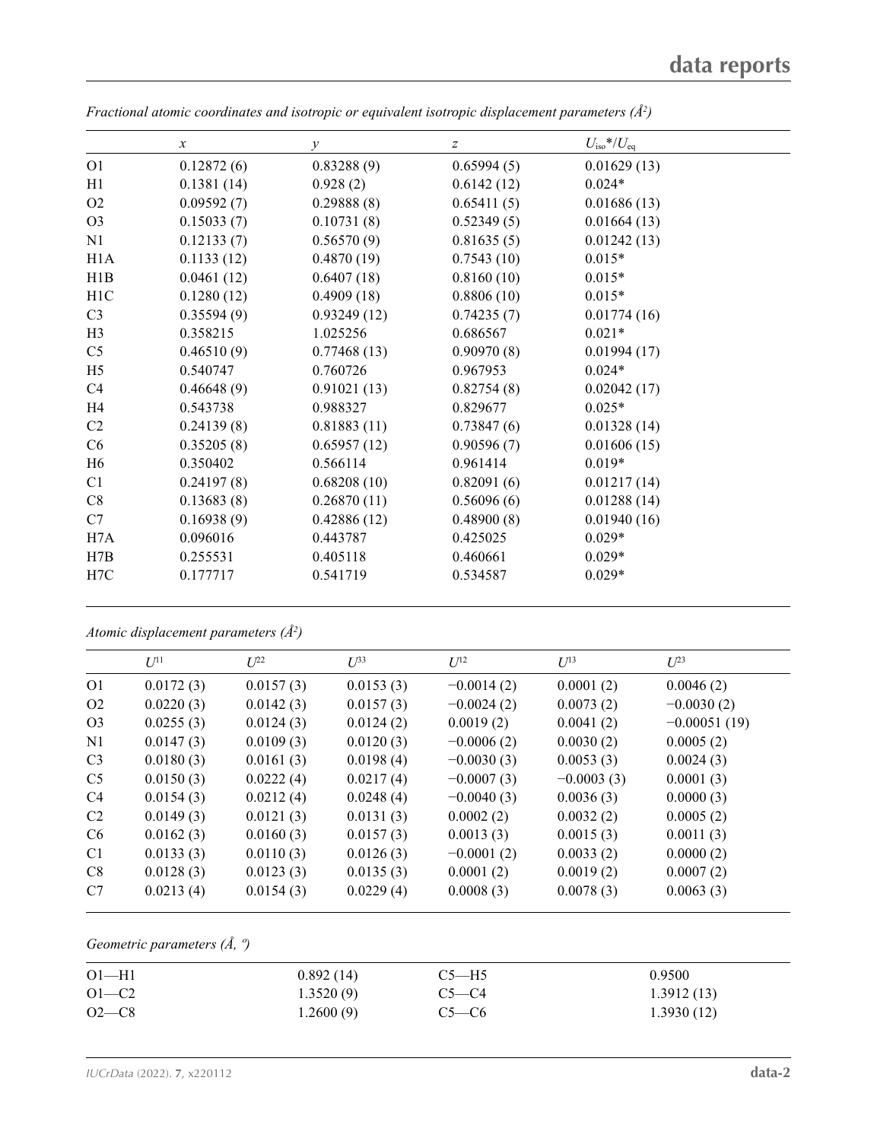|                  | $\mathcal{X}$ | $\mathcal{Y}$ | $\mathcal{Z}$ | $U_{\rm iso}$ */ $U_{\rm eq}$ |  |
|------------------|---------------|---------------|---------------|-------------------------------|--|
| O <sub>1</sub>   | 0.12872(6)    | 0.83288(9)    | 0.65994(5)    | 0.01629(13)                   |  |
| H1               | 0.1381(14)    | 0.928(2)      | 0.6142(12)    | $0.024*$                      |  |
| O <sub>2</sub>   | 0.09592(7)    | 0.29888(8)    | 0.65411(5)    | 0.01686(13)                   |  |
| O <sub>3</sub>   | 0.15033(7)    | 0.10731(8)    | 0.52349(5)    | 0.01664(13)                   |  |
| N1               | 0.12133(7)    | 0.56570(9)    | 0.81635(5)    | 0.01242(13)                   |  |
| H1A              | 0.1133(12)    | 0.4870(19)    | 0.7543(10)    | $0.015*$                      |  |
| H1B              | 0.0461(12)    | 0.6407(18)    | 0.8160(10)    | $0.015*$                      |  |
| H <sub>1</sub> C | 0.1280(12)    | 0.4909(18)    | 0.8806(10)    | $0.015*$                      |  |
| C <sub>3</sub>   | 0.35594(9)    | 0.93249(12)   | 0.74235(7)    | 0.01774(16)                   |  |
| H <sub>3</sub>   | 0.358215      | 1.025256      | 0.686567      | $0.021*$                      |  |
| C <sub>5</sub>   | 0.46510(9)    | 0.77468(13)   | 0.90970(8)    | 0.01994(17)                   |  |
| H <sub>5</sub>   | 0.540747      | 0.760726      | 0.967953      | $0.024*$                      |  |
| C4               | 0.46648(9)    | 0.91021(13)   | 0.82754(8)    | 0.02042(17)                   |  |
| H4               | 0.543738      | 0.988327      | 0.829677      | $0.025*$                      |  |
| C2               | 0.24139(8)    | 0.81883(11)   | 0.73847(6)    | 0.01328(14)                   |  |
| C <sub>6</sub>   | 0.35205(8)    | 0.65957(12)   | 0.90596(7)    | 0.01606(15)                   |  |
| H <sub>6</sub>   | 0.350402      | 0.566114      | 0.961414      | $0.019*$                      |  |
| C <sub>1</sub>   | 0.24197(8)    | 0.68208(10)   | 0.82091(6)    | 0.01217(14)                   |  |
| C8               | 0.13683(8)    | 0.26870(11)   | 0.56096(6)    | 0.01288(14)                   |  |
| C7               | 0.16938(9)    | 0.42886(12)   | 0.48900(8)    | 0.01940(16)                   |  |
| H7A              | 0.096016      | 0.443787      | 0.425025      | $0.029*$                      |  |
| H7B              | 0.255531      | 0.405118      | 0.460661      | $0.029*$                      |  |
| H7C              | 0.177717      | 0.541719      | 0.534587      | $0.029*$                      |  |

*Fractional atomic coordinates and isotropic or equivalent isotropic displacement parameters (Å<sup>2</sup>)* 

*Atomic displacement parameters (Å2 )*

|                | $U^{11}$  | $L^{22}$  | $U^{33}$  | $U^{12}$     | $U^{13}$     | $U^{23}$       |
|----------------|-----------|-----------|-----------|--------------|--------------|----------------|
| O <sub>1</sub> | 0.0172(3) | 0.0157(3) | 0.0153(3) | $-0.0014(2)$ | 0.0001(2)    | 0.0046(2)      |
| O <sub>2</sub> | 0.0220(3) | 0.0142(3) | 0.0157(3) | $-0.0024(2)$ | 0.0073(2)    | $-0.0030(2)$   |
| O <sub>3</sub> | 0.0255(3) | 0.0124(3) | 0.0124(2) | 0.0019(2)    | 0.0041(2)    | $-0.00051(19)$ |
| N <sub>1</sub> | 0.0147(3) | 0.0109(3) | 0.0120(3) | $-0.0006(2)$ | 0.0030(2)    | 0.0005(2)      |
| C <sub>3</sub> | 0.0180(3) | 0.0161(3) | 0.0198(4) | $-0.0030(3)$ | 0.0053(3)    | 0.0024(3)      |
| C <sub>5</sub> | 0.0150(3) | 0.0222(4) | 0.0217(4) | $-0.0007(3)$ | $-0.0003(3)$ | 0.0001(3)      |
| C <sub>4</sub> | 0.0154(3) | 0.0212(4) | 0.0248(4) | $-0.0040(3)$ | 0.0036(3)    | 0.0000(3)      |
| C2             | 0.0149(3) | 0.0121(3) | 0.0131(3) | 0.0002(2)    | 0.0032(2)    | 0.0005(2)      |
| C <sub>6</sub> | 0.0162(3) | 0.0160(3) | 0.0157(3) | 0.0013(3)    | 0.0015(3)    | 0.0011(3)      |
| C <sub>1</sub> | 0.0133(3) | 0.0110(3) | 0.0126(3) | $-0.0001(2)$ | 0.0033(2)    | 0.0000(2)      |
| C8             | 0.0128(3) | 0.0123(3) | 0.0135(3) | 0.0001(2)    | 0.0019(2)    | 0.0007(2)      |
| C7             | 0.0213(4) | 0.0154(3) | 0.0229(4) | 0.0008(3)    | 0.0078(3)    | 0.0063(3)      |
|                |           |           |           |              |              |                |

*Geometric parameters (Å, º)*

| 0.892(14) | $C5 - H5$ | 0.9500     |  |
|-----------|-----------|------------|--|
| 1.3520(9) | $C5-C4$   | 1.3912(13) |  |
| 1.2600(9) | $C5-C6$   | 1.3930(12) |  |
|           |           |            |  |